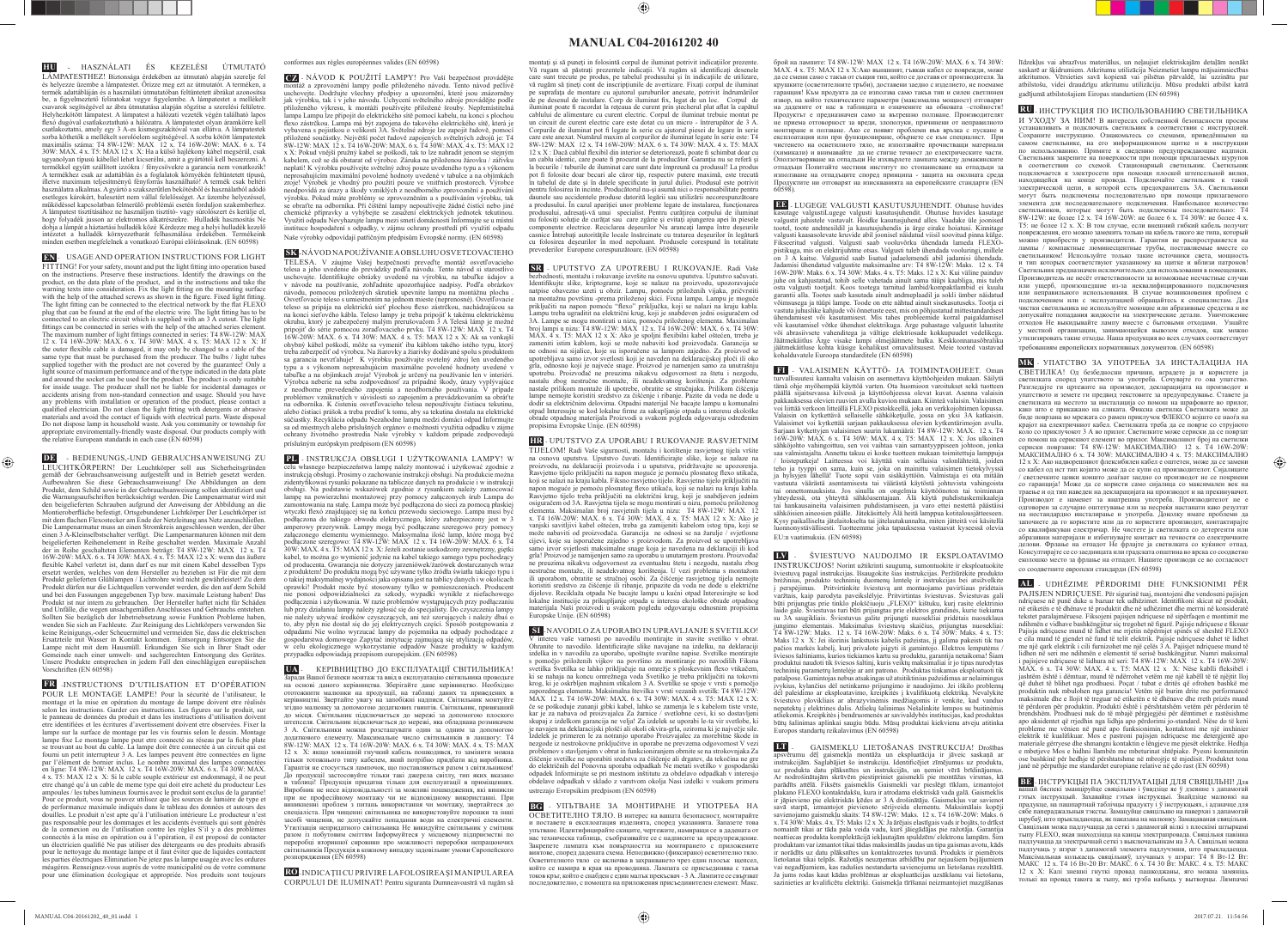## **MANUAL C04-20161202 40**

**HU -** HASZNÁLATI ÉS KEZELÉSI ÚTMUTATÓ LÁMPATESTHEZ! Biztonsága érdekében az útmutató alapján szerelje fel és helyezze üzembe a lámpatestet. Őrizze meg ezt az útmutatót. A terméken, a termék adattábláján és a használati útmutatóban feltüntetett ábrákat azonosítsa<br>be, a figyelmeztető feliratokat vegye figyelembe. A lámpatestet a mellékelt csavarok segítségével az ábra útmutatása alapján rögzítse a szerelési felületre. Helyhezkötött lámpatest. A lámpatest a hálózati vezeték végén található lapos fl exó dugóval csatlakoztatható a hálózatra. A lámpatestet olyan áramkörre kell csatlakoztatni, amely egy 3 A-es kismegszakítóval van ellátva. A lámpatestek sorba köthetők a mellékelt sorolóelem segítségével. A sorba kötött lámpatestek maximális száma: T4 8W-12W: MAX 12 x. T4 16W-20W: MAX. 6 x. T4 30W: MAX. 4 x. T5: MAX 12 x X: Ha a külső hajlékony kábel megsérül, csak ugyanolyan típusú kábellel lehet kicserélni, amit a gyártótól kell beszerezni. A termékkel együtt szállított izzókra / fénycsövekre a garancia nem vonatkozik! A termékhez csak az adattáblán és a foglalatok környékén feltüntetett típusú, illetve maximum teljesítményű fényforrás használható! A termék csak beltéri használatra alkalmas. A gyártó a szakszerűtlen bekötésből és használatból adódó esetleges károkért, balesetért nem vállal felelősséget. Az üzembe helyezéssel, működéssel kapcsolatban felmerülő problémái esetén forduljon szakemberhez. A lámpatest tisztításához ne használjon tisztító- vagy súrolószert és kerülje el, hogy folyadék jusson az elektromos alkatrészekre. Hulladék hasznosítás Ne  $\check{\mathfrak{g}}$ a lámpát a háztartási hulladék közé Kérdezze meg a helyi hulladék kezelő intézetet a hulladék környezetbarát felhasználása érdekében. Termékeink minden esetben megfelelnek a vonatkozó Európai előírásoknak. (EN 60598)

<u>a shekara ta 1989 na shekara ta 1989 na shekara ta 1989 na shekara ta 1989 na shekara ta 1989 na shekara ta 1989 na shekara ta 1989 na shekara ta 1989 na shekara ta 1989 na shekara ta 1989 na shekara ta 1989 na shekara ta</u>

**EN** - USAGE AND OPERATION INSTRUCTIONS FOR LIGHT FITTING! For your safety, mount and put the light fi tting into operation based on the instructions. Preserve these instructions. Identify the drawings on the product, on the data plate of the product, and in the instructions and take the warning texts into consideration. Fix the light fitting on the mounting surface with the help of the attached screws as shown in the figure. Fixed light fitting. The light fitting can be connected to the electrical network by the flat FLEXO plug that can be found at the end of the electric wire. The light fitting has to be connected to an electric circuit which is supplied with an 3 A cutout. The light fittings can be connected in series with the help of the attached series element. The maximum number of light fittings connected in series: T4 8W-12W: MAX 12 x. T4 16W-20W: MAX. 6 x. T4 30W: MAX. 4 x. T5: MAX 12 x X: If the outer flexible cable is damaged, it may only be changed to a cable of the same type that must be purchased from the producer. The bulbs / light tubes sume type that must be parentised from the product. The entirely fight tases light source of maximum performance and of the type indicated in the data plate and around the socket can be used for the product. The product is only suitable for inside usage. The producer shall not be liable for incidental damages or accidents arising from non-standard connection and usage. Should you have any problems with installation or operation of the product, please contact a qualified electrician. Do not clean the light fitting with detergents or abrasive materials and avoid the contact of liquids with electrical parts. Waste disposal<br>Do not dispose lamn in household waste. Ask you community or township for Do not dispose lamp in household waste. Ask you comm appropriate enviromentally-friendly waste disposal. Our products comply with the relative European standards in each case (EN 60598)

**DE** - BEDIENUNGS,-UND GEBRAUCHSANWEISUNG ZU LEUCHTKÖRPERN! Der Leuchtkörper soll aus Sicherheitsgründen gemäß der Gebrauchsanweisung aufgestellt und in Betrieb gesetzt werden. Aufbewahren Sie diese Gebrauchsanweisung! Die Abbildungen an dem Produkt, dem Schild sowie in der Gebrauchsanweisung sollen identifi ziert und die Warnungsaufschriften berücksichtigt werden. Die Lampenarmatur wird mit den beigelieferten Schrauben aufgrund der Anweisung der Abbildung an die Montieroberfl äche befestigt. Ortsgebundener Lichtkörper Der Leuchtkörper ist mit dem flachen Flexostecker am Ende der Netzleitung ans Netz anzuschließen.<br>Die Lampenarmatur muss an einen Stromkreis angeschlossen werden, der über einen 3 A-Kleinselbstschalter verfügt. Die Lampenarmaturen können mit dem beigelieferten Reihenelement in Reihe geschaltet werden. Maximale Anzahl der in Reihe geschalteten Elementen beträgt: T4 8W-12W: MAX 12 x. T4 16W-20W: MAX. 6 x. T4 30W: MAX. 4 x. T5: MAX 12 x X: wenn das äußere flexible Kabel verletzt ist, dann darf es nur mit einem Kabel desselben Typs ersetzt werden, welches von dem Hersteller zu beziehen ist Für die mit dem er der der Frankreisten Ernstehen Ernstehen Ern der Hitle einer der Ernstehen der Auf der Hitle der Hitle der Produkt dürfen nur die Lichtquellen verwendet werden, die den auf dem Schild und bei den Fassungen angegebenen Typ bzw. maximale Leistung haben! Das Produkt ist nur intern zu gebrauchen. Der Hersteller haftet nicht für Schäden und Unfälle, die wegen unsachgemäßen Anschlusses und Gebrauchs entstehen. Sollten Sie bezüglich der Inbetriebsetzung sowie Funktion Probleme haben, wenden Sie sich an Fachleute. Zur Reinigung des Lichtkörpers verwenden Sie keine Reinigungs,-oder Scheuermittel und vermeiden Sie, dass die elektrischen Ersatzteile mit Wasser in Kontakt kommen. Entsorgung Entsorgen Sie die Lampe nicht mit dem Hausmüll. Erkundigen Sie sich in Ihrer Stadt oder Gemeinde nach einer umwelt- und sachgerechten Entsorgung des Gerätes. Unsere Produkte entsprechen in jedem Fall den einschlägigen europäischen Vorschriften (EN 60598)

 $\bigoplus$ 

**SK** - NÁVOD NA POUŽÍVANIE A OBSLUHU OSVETĽOVACIEHO TELESA. V záujme Vašej bezpečnosti preveďte montáž osvetľovacieho telesa a jeho uvedenie do prevádzky podľa návodu. Tento návod si starostlivo uschovajte. Identifikujte obrázky uvedené na výrobku, na tabuľke údajov a<br>v návode na používanie, zohľadnite upozorňujúce nadpisy. Podľa obrázkov návodu, pomocou priložených skrutiek upevnite lampu na montážnu plochu . Osvetľovacie teleso s umiestnením na jednom mieste (neprenosné). Osvetľovacie teleso sa pripája na elektrickú sieť plochou flexo zástrčkou, nachádzajúcou sa na konci sieťového kábla. Teleso lampy je treba pripojiť k takému elektrickému okruhu, ktorý je zabezpečený malým prerušovačom 3 A Telesá lámp je možné pripojiť do série pomocou zoraďovacieho prvku. T4 8W-12W: MAX 12 x. T4 16W-20W: MAX. 6 x. T4 30W: MAX. 4 x. T5: MAX 12 x X: Ak sa vonkajší ohybný kábel poškodí, môže sa vymeniť iba káblom takého istého typu, ktorý treba zabezpečiť od výrobcu. Na žiarovky a žiarivky dodávané spolu s produktom sa garancia nevzťahuje! K výrobku používajte svetelný zdroj len uvedeného<br>typu a s výkonom nepresahujúcim maximálne povolené hodnoty uvedené v<br>tabuľke a na objímkach zroja! Výrobok je určený na používanie len v interiéri. Výrobca neberie na seba zodpovednosť za prípadné škody, úrazy vyplývajúce z neodborne prevedeného zapojenia a neodborného používania. V prípade problémov vzniknutých v súvislosti so zapojením a prevádzkovaním sa obráťte na odborníka. K čisteniu osvetľovacieho telesa nepoužívajte čistiacu tekutinu, alebo čistiaci prášok a treba predísť k tomu, aby sa tekutina dostala na elektrické súčiastky. Recyklácia odpadu Nezahodne lampu medzi domáci odpad Informujte sa od miestnych alebo príslušných orgánov o možnosti využitia odpadku v zájme ochrany životného prostredia Naše výrobky v každom prípade zodpovedajú príslušným európskym predpisom (EN 60598)

**FR** -INSTRUCTIONS D'UTILISATION ET D'OPÉRATION POUR LE MONTAGE LAMPE! Pour la sécurité de l'utilisateur, le montage et la mise en opération du montage de lampe doivent etre réalisés selon les instructions. Garder ces instructions. Les figures sur le produit, sur le panneau de données du produit et dans les instructions d'utilisation doivent etre identifiées et les écritures d'avertissement doivent etre observées. Fixer la lampe sur la surface de montage par les vis fournis selon le dessin. Montage lampe fixe Le montage lampe peut etre connecté au réseau par la fiche plate<br>se trouvant au bout du cable. La lampe doit être connectée à un circuit qui est fourni un petit interrupteur 3 A. Les lampes peuvent être connectées en ligne par l'élément de bornier inclus. Le nombre maximal des lampes connectées ligne: T4 8W-12W: MAX 12 x. T4 16W-20W: MAX. 6 x. T4 30W: MAX. 4 x. T5: MAX 12 x X: Si le cable souple extérieur est endommagé, il ne peut etre changé qu'à un cable de meme type qui doit etre acheté du producteur Les ampoules / les tubes lumineux fournis avec le produit sont exclus de la garantie! Pour ce produit, vous ne pouvez utilisez que les sources de lumière de type et de performance maximale indiqués dans le tableau des données et autours des douilles. Le produit n'est apte qu'à l'utilisation intérieure Le producteur n'est pas responsable pour les dommages et les accidents éventuels qui sont générés de la connexion ou de l'utilisation contre les règles S'il y a des problèmes connectés à la mise en opération ou à l'opération, il est proposé de contacter un électricien qualifié Ne pas utiliser des détergeants ou des produits abrasifs pour le nettoyage du montage lampe et il faut éviter que de liquides contactent les parties électriques Elimination Ne jetez pas la lampe usagée avec les ordures méagéres. Renseignez-vous auprés de votre municipalité ou de votre commune pour une élimination écologique et appropriée. Nos produits sont toujours conformes aux règles européennes valides (EN 60598)

montați și să puneți in folosintă corpul de iluminat potrivit indicațiilor prezente. Vă rugam să păstrați prezentele indicații. Vă rugăm să identificați desenele care sunt trecute pe produs, pe tabelul produsului și în indicațiile de utilizare, vă rugăm să tineți cont de inscriptiunile de avertizare. Fixati corpul de iluminat pe suprafața de montare cu ajutorul șuruburilor anexate, potrivit îndrumărilo de pe desenul de instalare. Corp de iluminat fix, legat de un loc. Corpul de iluminat poate fi racordat la rețeaua de curent prin ștecherul plat aflat la capătul<br>cablului de alimentare cu curent electric. Corpul de iluminat trebuie montat pe un circuit de curent electric care este dotat cu un micro - întrerupător de 3 A. Corpurile de iluminat pot fi legate în serie cu ajutorul piesei de legare în serie care este anexat. Numărul maxim al corpurilor de iluminat legate în serie este: T4 8W-12W: MAX 12 x. T4 16W-20W: MAX. 6 x. T4 30W: MAX. 4 x. T5: MAX  $12 \times X$  : Dacă cablul flexibil din interior se deteriorează, poate fi schimbat doar cu un cablu identic, care poate fi procurat de la producător. Garanţia nu se referă şi la becurile / tuburile de iluminat care sunt date împreună cu produsul! La produs pot fi folosite doar becuri ale căror tip, respectiv putere maximă, este trecută în tabelul de date şi în datele specifi cate în jurul duliei. Produsul este potrivit pentru folosirea în incinte. Producătorul nu-şi asumă nici o responsabilitate pentru nele sau accidentele produse datorită legării sau utilizării necorespunzătoare a produsului. În cazul apariţiei unor probleme legate de instalarea, funcţionarea produsului, adresaţi-vă unui specialist. Pentru curăţirea corpului de iluminat nu folositi soluție de curătat sau care zgârie și evitați ajungerea apei în piesele componente electrice. Reciclarea deseurilor Nu aruncati lampa între deseurile casnice Întrebaţi autorităţile locale însărcinate cu tratarea deşeurilor în legătură cu folosirea deşeurilor în mod nepoluant. Produsele corespund în totalitate prevederilor Europene corespunzătoare. (EN 60598)

**CZ** - NÁVOD K POUŽITÍ LAMPY! Pro Vaší bezpečnost provádějte montáž a zprovoznění lampy podle přiloženého návodu. Tento návod pečlivě uschovejte. Dodržujte všechny předpisy a upozornění, které jsou znázorněny jak výrobku, tak i v jeho návodu. Uchycení světelného zdroje provádějte podle přiloženého výkresu, k montáži používejte přiložené šrouby. Nepřemístitelná lampa Lampu lze připojit do elektrického sítě pomocí kabelu, na konci s plochou fl exo zástrčkou. Lampa má být zapojena do takového elektrického sítě, která je vybavena s pojistkou o velikosti 3A. Světelné zdroje lze zapojit řadově, pomocí přiložené součástky. Největší počet řadově zapojených světelných zdrojů je: T4 8W-12W: MAX 12 x. T4 16W-20W: MAX. 6 x. T4 30W: MAX. 4 x. T5: MAX 12 x X: Pokud vnější pružný kabel se poškodí, tak to lze nahradit jenom se stejným kabelem, což se dá obstarat od výrobce. Záruka na přiloženou žárovku / zářivku neplatí! K výrobku používejte světelný zdroj pouze uvedeného typu a s výkonem neprosahujícím maximální povolené hodnoty uvedené v tabulce a na objímkách zroje! Výrobek je vhodný pro použití pouze ve vnitřních prostorech. Výrobce neodpovídá za úrazy a škody vzniklých z neodborného zprovoznění a používání<br>výrobku. Pokud máte problémy se zprovozněním a s používáním výrobku, tak<br>se obraťte na odborníka. Při čištění lampy nepoužívejte žádné čistící neb Využití odpadu Nevyhazujte lampu mezi smetí domácnosti Informujte se u místní instituce hospodaření s odpadky, v zájmu ochrany prostředí při využití odpadu Naše výrobky odpovídají patřičným předpisům Evropské normy. (EN 60598)

**PL** - INSTRUKCJA OBSŁUGI I UŻYTKOWANIA LAMPY! W celu własnego bezpieczeństwa lampę należy montować i użytkować zgodnie z<br>instrukcją obsługi. Prosimy o zachowanie instrukcji obsługi. Na produkcie można<br>zidentyfikowaś rysunki pokazane na tabliczce danych na produkcie i w obsługi. Na podstawie wskazówek zgodnie z rysunkiem należy zamocować lampę na powierzchni montażowej przy pomocy załączonych śrub Lampa do zamontowania na stałę. Lampa może być podłączona do sieci za pomocą płaskiej<br>wtyczki flexó znajdującej się na końcu przewodu sieciowego. Lampa musi być podłączona do takiego obwodu elektrycznego, który zabezpieczony jest w 3 amperowy przerywnik. Lampy mogą być podłączane szeregowo przy pomocy załączonego elementu wymiennego. Maksymalna ilość lamp, które mogą być podłączone szeregowo: T4 8W-12W: MAX 12 x. T4 16W-20W: MAX. 6 x. T4 30W: MAX. 4 x. T5: MAX 12 x X: Jeżeli zostanie uszkodzony zewnętrzny, giętki kabel, to można go wymienić jedynie na kabel takiego samego typu pochodzący od producenta. Gwarancja nie dotyczy jarzeniówek/żarówek dostarczanych wraz z produktem! Do produktu mogą być używane tylko źródła światła takiego typu i o takiej maksymalnej wydajności jaka opisana jest na tablicy danych i w okolicach oprawki! Produkt może być stosowany tylko w pomieszczeniach. Producent nie ponosi odpowidzialności za szkody, wypadki wynikłe z niefachowego podłączenia i użytkowania. W razie problemów wystąpujących przy podłączaniu lub przy działaniu lampy należy zgłosić się do specjalisty. Do czyszczenia lampy nie należy używać środków czyszczących, ani też szorujących i należy dbaś o to, aby płyn nie dostał się do jej elektrycznych części. Sposób postępowania z odpadami Nie wolno wyrzucać lampy do pojemnika na odpady pochodzące z gospodarstwa domowego Zapytać instytucję zajmującą się utylizacją odpadów, w celu ekologicznego wykorzystanie odpadów Nasze produkty w każdym przypadku odpowiadają przepisom europejskim. (EN 60598)

**EE** - LUGEGE VALGUSTI KASUTUSJUHENDIT. Ohutuse huvides kasutage valgustiLugege valgusti kasutusjuhendit. Ohutuse huvides kasutage valgustit juhistele vastavalt. Hoidke kasutusjuhend alles. Vaadake üle joonised tootel, toote andmesildil ja kasutusjuhendis ja ärge eirake hoiatusi. Kinnitage valgusti kaasasolevate kruvide abil joonisel näidatud viisil soovitud pinna külge. Fikseeritud valgusti. Valgusti saab vooluvõrku ühendada lameda FLEXO-pistikuga, mis on elektrijuhtme otsas. Valgusti tuleb ühendada vooluringi, millele on 3 A kaitse. Valgustid saab lisatud jadaelemendi abil jadamisi ühendada.<br>Jadamisi ühendatud valgustite maksimaalne arv: T4 8W-12W: Maks. 12 x. T4<br>16W-20W: Maks. 6 x. T4 30W: Maks. 4 x. T5: Maks. 12 x X: Kui väline paindu juhe on kahjustatud, tohib selle vahetada ainult sama tüüpi kaabliga, mis tuleb osta valgusti tootjalt. Koos tootega tarnitud lambid/kompaktlambid ei kuulu garantii alla. Tootes saab kasutada ainult andmeplaadil ja sokli ümber näidatud võimsusega ja tüüpi lampe. Toode on ette nähtud ainult sisekasutuseks. Tootja ei vastuta juhuslike kahjude või õnnetuste eest, mis on põhjustatud mittestandardsest ühendamisest või kasutamisest. Mis tahes probleemide korral paigaldamisel või kasutamisel võtke ühendust elektrikuga. Ärge puhastage valgustit lahustite või abrasiivsete vahenditega ja vältige elektriosade kokkupuudet vedelikega. Jäätmekäitlus Ärge visake lampi olmejäätmete hulka. Keskkonnanasõbraliku jäätmekäitluse kohta küsige kohalikust omavalitsusest. Meie tooted vastavad kohalduvatele Euroopa standarditele (EN 60598)

**UA** - КЕРІВНИЦТВО ДО ЕКСПЛУАТАЦІЇ СВІТИЛЬНИКА! Заради Вашої безпеки монтаж та ввід в експлуатацію світильника проводьте на основі даного керівництва. Зберігайте дане керівництво. Необхідно ототожнити малюнки на продукції, на таблиці даних та приведених в керівництві. Звертайте увагу на запобіжні надписи. Світильник монтуйте згідно малюнку за допомогою додаткових гвинтів. Світильник, привязаний до місця. Світильник підключається до мережі за допомогою плоского штепселя. Світильник підключається до мережі, яка обладнана розмикачем 3 A. Світильники можна розсташувати один за одним за допомогою додаткового елементу. Максимальне число світильників в ланцюгу: T4 8W-12W: MAX 12 x. T4 16W-20W: MAX. 6 x. T4 30W: MAX. 4 x. T5: MAX 12 x X: якщо зовнішній гнучкий кабель пошкодився, то замінити можна тільки тотожнього типу кабелем, який потрібно придбати від виробника. Гарантія не стосується лампочок, що поставляються разом з світильником! До продукції застосовуйте тільки такі джерела світлу, тип яких вказано в таблиці! Продукція придатна тільки для експлуатації в приміщеннях. Виробник не несе відповідальності за можливі пошкодження, які виникли при не професійному монтажу чи не відповідному використанні. При виникненні проблем з питань використання чи монтажу, звертайтеся до спеціаліста. При чищенні світильника не використовуйте порошки та інші засобі чищення, не допускайте попадання води на електричні елементи. Утилізація непридатного світильника Не викидуйте світильник у смітник разом із побутовим сміттям Інформуйтеся у місцевому підприємстві по переробці вторинної сировини про можливості переробки непрацюючих світильників Продукція в кожному випадку задовільняє умови Європейского розпорядження (EN 60598)

**RO** - INDICAŢII CU PRIVIRE LA FOLOSIREA ŞI MANIPULAREA CORPULUI DE ILUMINAT! Pentru siguranta Dumneavoastră vă rugăm să

## ◈

**LT** - GAISMEKLU LIETOŠANAS INSTRUKCIJA! Drošības apsvērumu dēļ gaismekļa montāža un ekspluatācija ir jāveic saskaņā ar instrukcijām. Saglabājiet šo instrukciju. Identifi cējiet zīmējumus uz produkta, uz produkta datu plāksnītes un instrukcijās, un ņemiet vērā brīdinājumu Ar nodrošinātajām skrūvēm piestipriniet gaismekli pie montāžas virsmas, kā parādīts attēlā. Fiksēts gaismeklis Gaismekli var pieslēgt tīklam, izmantojot plakano FLEXO kontaktdakšu, kura ir atrodama elektriskā vada galā. Gaismeklis ir jāpievieno pie elektriskās ķēdes ar 3 A drošinātāju. Gaismekļus var savienot savā starpā, izmantojot pievienoto sērijveida elementu. Maksimālais kopēji savienojamo gaismekļu skaits: T4 8W-12W: Maks. 12 x. T4 16W-20W: Maks. 6 x. T4 30W: Maks. 4 x. T5: Maks 12 x X: Ja ārējais elastīgais vads ir bojāts, to drīkst nomainīt tikai ar tāda paša veida vadu, kurš jāiegādājas pie ražotāja. Garantija neattiecas produkta komplektācijā iekļautajām spuldzēm/ elektronu lampām. Šim produktam var izmantot tikai tādas maksimālās jaudas un tipa gaismas avotu, kāds ir norādīts uz datu plāksnītes un kontaktrozetes tuvumā. Produkts ir piemērots lietošanai tikai telpās. Ražotājs neuzņemas atbildību par nejaušiem bojājumiem vai negadījumiem, kas radušies nestandarta savienojumu un lietošanas rezultātā. Ja jums rodas kaut kādas problēmas ar ekspluatācijas uzsākšanu vai lietošanu, sazinieties ar kvalifi cētu elektriķi. Gaismekļa tīrīšanai neizmantojiet mazgāšanas

**SR** - UPUTSTVO ZA UPOTREBU I RUKOVANJE. Radi Vaše hosti, montažu i rokuvanje izvršite na osnovu uputstva. Uputstvo sačuvati. Identifikujte slike, kriptograme, koje se nalaze na proizvodu, upozoravajuće natpise obavezno uzeti u obzir. Lampu, pomoću priloženih vijaka, pričvrstiti<br>na montažnu površinu -prema priloženoj skici. Fixna lampa. Lampu je moguće<br>priključiti na napon pomoću ''flexo" priključka, koji se nalazi na kra Lampu treba ugraditit na električni krug, koji je snabdeven jedni osiguračem od 3A. Lampe se mogu montirati u nizu, pomoću priloženog elementa. Maximalan broj lampi u nizu: T4 8W-12W: MAX 12 x. T4 16W-20W: MAX. 6 x. T4 30W: MAX. 4 x. T5: MAX 12 x X: Ako je spoljni flexibilni kabel oštećen, trreba je zameniti istim kablom, koji se može nabaviti kod proizvođača. Garancija se ne odnosi na sijalice, koje su isporučene sa lampom zajedno. Za proizvod se upotrebljava samo izvor svetlosti koji je naveden na deklaracijskoj ploči ili oko grla, odnosno koji je najveće snage. Proizvod je namenjen samo za unutrašnju upotrebu. Proizvođač ne preuzima nikakvu odgovornost za štetu i nezgodu, nastalu zbog nestručne montaže, ili neadekvatnog korištenja. Za probleme nastale prilikom montaže ili upotrebe, obratite se stručnjaku. Prilikom čišćenja lampe nemojte koristiti sredstvo za čišćenje i ribanje. Pazite da voda ne dođe u dodir sa električnim delovima. Otpadni materijal Ne bacajte lampu u kon otpad Interesujte se kod lokalne fi rme za sakupljanje otpada u interesu ekološke obrade otpadnog materijala Proizvodi u svakom pogledu odgovaraju određenim propisima Evropske Unije. (EN 60598)

**HR** - UPUTSTVO ZA UPORABU I RUKOVANJE RASVJETNIM TIJELOM! Radi Vaše sigurnosti, montažu i korištenje rasvjetnog tijela vršite na osnovu uputstva. Uputstvo čuvati. Identificirajte slike, koje se nalaze na proizvodu, na deklaraciji proizvoda i u uputstvu, pridržavajte se upozorenja. Rasvjetno tijelo priključiti na napon moguće je pomoću plosnatog flexo utikača,<br>koji se nalazi na kraju kabla. Fiksno rasvjetno tijelo. Rasvjetno tijelo priključiti na napon moguće je pomoću plosnatog flexo utikača, koji se nalazi na kraju kabla. Rasvjetno tijelo treba priključiti na električni krug, koji je snabdjeven jednim osiguračem od 3A. Rasvjetna tijela se mogu montirati u nizu, pomoću priloženog elementa. Maksimalan broj rasvjetnih tijela u nizu: T4 8W-12W: MAX 12 x. T4 16W-20W: MAX. 6 x. T4 30W: MAX. 4 x. T5: MAX 12 x X: Ako je vanjski savitljivi kabel oštećen, treba ga zamijeniti kabelom istog tipa, koji se može nabaviti od proizvođača. Garancija ne odnosi se na žarulje / svjetlosne cijevi, koje su isporučene zajedno s proizvodom. Za proizvod se upotrebljava samo izvor svjetlosti maksimalne snage koja je navedena na deklara grla! Proizvod je namijenjen samo za uporabu u unutarnjem prostoru. Proizvođač ne preuzima nikakvu odgovornost za eventualnu štetu i nezgodu, nastalu zbog nestručne montaže, ili neadekvatnog korištenja. U vezi problema s montažom ili uporabom, obratite se stručnoj osobi. Za čišćenje rasvjetnog tijela nemojte koristiti sredstvo za čišćenje ili ribanje, pripazite da voda ne dođe u električ dijelove. Reciklaža otpada Ne bacajte lampu u kućni otpad Interesirajte se kod lokalne institucije za prikupljanje otpada u interesu ekološke obrade otpadnog materijala Naši proizvodi u svakom pogledu odgovaraju odnosnim propisima Europske Unije. (EN 60598)

**SI** - NAVODILO ZA UPORABO IN UPRAVLJANJE S SVETILKO! V intereu vaše varnosti po navodilu montirajte in stavite svetilko v obrat. Ohranite to navodilo. Identificirajte slike navajane na izdelku, na deklaraciji zdelka in v navodilu za uporabo, upoštujte svarilne napise. Svetilko montirajt s pomočjo priloženih vijkov na površino za montiranje po navodilih Fiksna<br>svetilka Svetilka se lahko priključuje na omrežje s ploskevnim flexo vtikačem, ki se nahaja na koncu omrežnega voda Svetilko je treba priključiti na tokovni krog, ki je oskrbljen majhnim stikalom 3 A. Svetilke se spoje v vrsti s pomočjo zaporednega elementa. Maksimalna številka v vrsti vezanih svetilk: T4 8W-12W: MAX 12 x. T4 16W-20W: MAX. 6 x. T4 30W: MAX. 4 x. T5: MAX 12 x X: če se poškoduje zunanji gibki kabel, lahko se zamenja le s kabelom tiste vrste, kar je za nabava od proizvajalca Za žarnice / svetlobne cevi, ki so dostavljeni skupaj z izdelkom garancija ne velja! Za izdelek se uporabi le-ta vir svetlobe, ki je navajen na deklaracijski plošči ali okoli okvira-grla, oziroma ki je največje sile. Izdelek je primeren le za notranjo uporabo Proizvajalec za morebitne škode in nezgode iz nestrokovne priključitve in uporabe ne prevzema odgovornost V vezi problemov s stavljenjem v obrat in funkcioniranjem obrnite se na strokovnjaka Za čiščenje svetilke ne uporabiti sredstva za čiščenje ali drgatev, da tekočina ne gre do električnih del Ponovna uporaba odpadkah Ne metati svetilko v gospodarski odpadek Informirajte se pri mestnom inštitutu za obdelavo odpadkah v interesjo obdelave odpadkah v sklado z varstvom okolja Nasi izdelki v vsakem primeru ustrezajo Evropsikim predpisom (EN 60598)

**BG** - УПЪТВАНЕ ЗА МОНТИРАНЕ И УПОТРЕБА НА ОСВЕТИТЕЛНО ТЯЛО. В интерес на вашата безопасност, монтирайте поставете в експлоатация изделията, според указанията. Запазете упътване. Идентифицирайте скиците, чертежите, намиращи се в дадената от нас техническа таблица, съобразявайте се с надписите за предупреждение. Закрепете лампата към повърхността на монтирането с приложените винтове, според дадената схема. Неподвижно (фиксирано) осветително тяло. Осветителното тяло се включва в захранването чрез един плосък щепсел, който се намира в края на проводника. Лампата се присъединява с такъв токов кръг, който е снабден с един малък прекъсвач - 3 А. Лампите се свързват последователно, с помощта на приложения присъединителен елемент. Макс.

брой на лампите: T4 8W-12W: MAX 12 x. T4 16W-20W: MAX. 6 x. T4 30W: MAX. 4 x. T5: MAX 12 x X:Ако външният, гъвкав кабел се поврежди, може да се смени само с такъв от същия тип, който се доставя от производителя. За крушките (осветителните тръби), доставени заедно с изделието, не поемаме гаранция! Към продукта да се използва само такъв тип и силен светлинен извор, на който техническите параметри (максимална мощност) отговарят на дадените от нас в таблицата и означените на обковата -стойности Продуктът е предназначен само за вътрешно ползване. Производителят не приема отговорност за вреди, злополуки, причинени от неправилното монтиране и ползване. Ако се появят проблеми във връзка с пускане в експлоатация или при функциониране, обърнете се към специалист. При чистенето на осветилното тяло, не използвайте прочистващи материали (химикали) и внимавайте да не стигне течност до електрическите части. Оползотворяване на отпадъци Не изхвърлете лампата между домакинските отпадъци Попитайте местния институт по стопанисване на отпадъци за използване на отпадъците според принципа - защита на околната среда Продуктите ни отговарят на изискванията на европейските стандарти (EN 60598).

**FI** - VALAISIMEN KÄYTTÖ- JA TOIMINTAOHJEET. Oman turvallisuutesi kannalta valaisin on asennettava käyttöohjeiden mukaan. Säilytä tämä ohje myöhempää käyttöä varten. Ota huomioon varoitukset sekä tuotteen päällä sijaitsevassa kilvessä ja käyttöohjeessa olevat kuvat. Asenna valaisin pakkauksessa olevien ruuvien avulla kuvion mukaan. Kiinteä valaisin. Valaisimen voi liittää verkoon litteällä FLEXO pistokkeellä, joka on verkkojohtimen lopussa. Valaisin on kytkettävä sellaiselle sähköketjulle, jossa on yksi 3A katkaisin. Valaisimet voi kytkettää sarjaan pakkauksessa olevien kytkentärimojen avulla. Sarjaan kytkettyjen valaisimen suurin lukumäärä: T4 8W-12W: MAX. 12 x. T4 16W-20W: MAX. 6 x. T4 30W: MAX. 4 x. T5: MAX 12 x. X: Jos ulkoinen sähköjohto vahingoittuu, sen voi vaihtaa vain samantyyppiseen johtoon, jonka saa valmistajalta. Annettu takuu ei koske tuotteen mukaan toimitettuja lamppuja / loisteputkeja! Laitteessa voi käyttää vain sellaisia valonlähteitä, joiden teho ja tyyppi on sama, kuin se, joka on mainittu valaisimen tietokylvyssä ja hylsyjen lähellä! Tuote sopii vain sisäkäyttöön. Valmistaja ei ota mitään vastuuta väärästä asentamisesta tai väärästä käytöstä johtuvista vahingoista tai onnettomuuksista. Jos sinulla on ongelmia käyttöönoton tai toiminnan yhteydessä, ota yhteyttä sähköasentajaan. Älä käytä puhdistuskemikaaleja tai hankausaineita valaisimen puhdistamiseen, ja varo ettei nestettä päästäisi sähköisien aineosien päälle. Jätekäsittely Älä heitä lamppua kotitalousjätteeseen. Kysy paikalliselta jätelaitokselta tai jätelautakunnalta, miten jätteitä voi käsitellä luonnonystävällisesti. Tuotteemme joka tapauksessa vastaavat kyseessä olevia EU:n vaatimuksia. (EN 60598)

**LV** - ŠVIESTUVO NAUDOJIMO IR EKSPLOATAVIMO INSTRUKCIJOS! Norint užtikrinti saugumą, sumontuokite ir eksploatuokite šviestuvą pagal instrukcijas. Išsaugokite šias instrukcijas. Peržiūrėkite produkto brėžinius, produkto techninių duomenų lentelę ir instrukcijas bei atsižvelkite us. Pritvirtinkite šviestuvą ant montuojamo paviršiaus pridėtais varžtais, kaip parodyta paveikslėlyje. Pritvirtintas šviestuvas. Šviestuvas gali būti prijungtas prie tinklo plokščiuoju "FLEXO" kištuku, kuri rasite elektrini laido gale. Šviestuvas turi būti prijungtas prie elektros grandinės, kurie tiekiama su 3A saugikliais. Šviestuvus galite prijungti nuosekliai pridėtais nuoseklaus jungimo elementais. Maksimalus šviestuvų skaičius, prijungtas nuosekliai: T4 8W-12W: Maks. 12 x. T4 16W-20W: Maks. 6 x. T4 30W: Maks. 4 x. T5: Maks 12 x X: Jei išorinis lankstusis kabelis pažeistas, jį galima pakeisti tik tuo pačios markės kabelį, kurį privalote įsigyti iš gamintojo. Elektros lemputėms / šviesos šaltiniams, kurios tiekiamos kartu su produktu, garantija netaikoma! Šiam produktui naudoti tik šviesos šaltinį, kuris veiktų maksimaliai ir jo tipas nurodytas techninių parametrų lentelėje ar ant patrono. Produktas tinkamas eksploatuoti tik patalindas nebus atsakingas už atsitiktinius pažeidimus ar nelainingus ar nelainingus ar nelainingus ar nelainingus ar nelainingus ar nelainingus ar nelainingus ar nelainingus ar nelainingus ar nelainingus ar nelainingus a įvykius, kylančius dėl netinkamo prijungimo ir naudojimo. Jei iškilo problemų dėl paleidimo ar eksploatavimo, kreipkitės į kvalifikuotą elektriką. Nevalykit šviestuvo plovikliais ar abrazyvinėmis medžiagomis ir venkite, kad vanduo nepatektų į elektrines dalis. Atliekų šalinimas Nešalinkite lempos su buitinėmis iekomis. Kreipkitės į bendruomenės ar savivaldybės institucijas, kad produkta būtų šalinimas aplinkai saugiu būdu. Mūsų produktai kiekvienu atveju atitinka Europos standartų reikalavimus (EN 60598)

līdzekļus vai abrazīvus materiālus, un neļaujiet elektriskajām detaļām nonākt saskarē ar šķidrumiem. Atkritumu utilizācija Neizmetiet lampu mājsaimniecības atkritumos. Vērsieties savā kopienā vai pilsētas pārvaldē, lai uzzinātu par atbilstošu, videi draudzīgu atkritumu utilizāciju. Mūsu produkti atbilst katrā gadījumā atbilstošajiem Eiropas standartiem (EN 60598)

<u> Transformation et al. In 1970 post al. In 1970 post al. In 1970 post al. In 1971 post al. In 1971 post al. In 1971 post al. In 1971 post al. In 1971 post al. In 1972 post al. In 1972 post al. In 1972 post al. In 1972 pos</u>

◈

**RU** - ИНСТРУКЦИЯ ПО ИСПОЛЬЗОВАНИЮ СВЕТИЛЬНИКА И УХОДУ ЗА НИМ! В интересах собственной безопасности просим устанавливать и подключать светильник в соответствии с инструкцией. .<br>Сохраните инструкцию. Ознакомьтесь со схемами, приведёнными на самом светильнике, на его информационном щитке и в инструкции по использованию. Примите к сведению предупреждающие надписи. Светильник закрепите на поверхности при помощи прилагаемых шурупов в соответствии со схемой. Стационарный светильник. Светильник подключается к электросети при помощи плоской штепсельной вилки, находящейся на конце провода. Подключайте светильник к такой электрической цепи, в которой есть предохранитель 3А. Светильники могут быть подключены последовательно при помощи прилагаемого элемента для последовательного подключения. Наибольшее количество светильников, которые могут быть подключены последовательно: T4 8W-12W: не более 12 х. T4 16W-20W: не более 6 x. T4 30W: не более 4 x. T5: не более 12 х. X: В том случае, если внешний гибкий кабель получит повреждения, его можно заменить только на кабель такого же типа, который можно приобрести у производителя. Гарантия не распространяется на лампы / компактные люминесцентные трубы, поставляемые вместе со светильником! Используйте только такие источники света, мощность и тип которых соответствуют указанному на щитке и вблизи патронов! Светильник предназначен исключительно для использования в помещениях. Производитель не несёт ответственности за возможные несчастные случаи или ущерб, произошедшие из-за неквалифицированного подключения или неправильного использования. В случае возникновения проблем с подключением или с эксплуатацией обращайтесь к специалистам. Для чистки светильника не используйте моющие или абразивные средства и не допускайте попадания жидкости на электрические детали. Уничтожение отходов Не выкидывайте лампу вместе с бытовыми отходами. Узнайте у местной организации, занимающейся вывозом отходов, как можно утилизировать такие отходы. Наша продукция во всех случаях соответствует требованиям европейских нормативных документов. (EN 60598)

**MK** - УПАТСТВО ЗА УПОТРЕБА ЗА ИНСТАЛАЦИЈА НА СВЕТИЛКА! Од безбедносни причини, вградете ја и користете ја светилката според упатството за употреба. Сочувајте го ова упатство. Разгледајте ги цртежите на производот, декларацијата на производот и упатството и земете ги предвид текстовите за предупредување. Ставете ја светилката на местото за инсталација со помош на шрафовите во прилог, како што е прикажано на сликата. Фиксна светилка Светилката може да биде поврзана во мрежата со рамен приклучок ФЛЕКСО којшто се наоѓа на крајот на електричниот кабел. Светилката треба да се поврзе со струјното коло со приклучокот 3 А во прилог. Светилките може сериски да се поврзат со помош на серискиот елемент во прилог. Максималниот број на светилки сериски поврзани: T4 8W-12W: МАКСИМАЛНО 12 x. T4 16W-20W: МАКСИМАЛНО 6 x. T4 30W: МАКСИМАЛНО 4 x. T5: МАКСИМАЛНО 12 x Х: Ако надворешниот флексибилен кабел е оштетен, може да се замени со кабел од ист тип којшто може да се купи од производителот. Сијалиците / светлечките цевки коишто доаѓаат заедно со производот не се покриени со гаранција! Може да се користи само сијалица со максимален век на траење и од тип наведен на декларацијата на производот и на прекинувачот. Производот е наменет за внатрешна употреба. Производителот не е одговорен за случајно оштетување или за несреќи настанати како резултат на нестандардно инсталирање и употреба. Доколку имате проблеми да започнете да го користите или да го користите производот, контактирајте со квалификуван електричар. Не чистете ја светилката со детергенти или абразивни материјали и избегнувајте контакт на течности со електричните делови. Фрлање на отпадот Не фрлајте ја светилката со куќниот отпад. Консултирајте се со заедницата или градската општина во врска со соодветно еколошко место за фрлање на отпадот. Нашите производи се во согласност со соодветните европски стандарди (EN 60598)

**AL** - UDHËZIME PËRDORIMI DHE FUNKSIONIMI PËR PAJISJEN NDRIÇUESE. Për sigurinë tuaj, montojeni dhe vendoseni pajisjen ndriçuese në punë duke u bazuar tek udhëzimet. Identifikoni skicat në produkt në etiketën e të dhënave të produktit dhe në udhëzimet dhe merrni në konsideratë tekstet paralajmëruese. Fiksojeni pajisjen ndriçuese në sipërfaqen e montimit me ndihmën e vidhave bashkëngjitur siç tregohet në figurë. Pajisje ndriçuese e fiksuar<br>Pajisja ndriçuese mund të lidhet me rrjetin nëpërmjet spinës së sheshtë FLEXO<br>e cila mund të gjendet në fund të telit elektrik. Pajisje nd me një qark elektrik i cili furnizohet me një çelës 3 A. Pajisjet ndriçuese mund të lidhen në seri me ndihmën e elementit të serisë bashkëngjitur. Numri maksimal<br>i pajisjeve ndriçuese të lidhura në seri: T4 8W-12W: MAX 12 x. T4 16W-20W:<br>MAX. 6 x. T4 30W: MAX. 4 x. T5: MAX 12 x X: Nëse kablli fleksibël jashtëm është i dëmtuar, mund të ndërrohet vetëm me një kabëll të të njëjtit lloj që duhet të blihet nga prodhuesi. Poçat / tubat e dritës që ofrohen bashkë me produktin nuk mbulohen nga garancia! Vetëm një burim drite me performancë maksimale dhe e llojit të treguar në etiketën e të dhënave dhe rreth prizës mund të përdoren për produktin. Produkti është i përshtatshëm vetëm për përdorim të brendshëm. Prodhuesi nuk do të mbajë përgjegjësi për dëmtimet e rastësishme apo aksidentet që rrjedhin nga lidhja apo përdorimi jo-standard. Nëse do të keni probleme me vënien në punë apo funksionimin, kontaktoni me një inxhinier elektrik të kualifikuar. Mos e pastroni pajisjen ndriçuese me detergjentë apo materiale gërryese dhe shmangni kontaktin e lëngjeve me pjesët elektrike. Hedhja e mbetjeve Mos e hidhni llambën me mbeturinat shtëpiake. Pyesni komunitetin ose bashkinë për hedhje të përshtatshme në mbrojtje të mjedisit. Produktet tona janë në përputhje me standardet europiane relative në çdo rast (EN 60598)

**BE** - ІНСТРУКЦЫІ ПА ЭКСПЛУАТАЦЫІ ДЛЯ СВЯЦІЛЬНІ! Для вашай бяспекі зманціруйце свяцільню і ўвядзіце яе ў дзеянне з дапамогай гэтых інструкцый. Захавайце гэтыя інструкцыі. Знайдзіце малюнкі на прадукце, на пашпартнай таблічцы прадукту і ў інструкцыях, і адзначце для сябе папераджальныя тэксты. Замацуйце свяцільню на паверхні з дапамогай шрубаў, што прыкладаюцца, як паказана на малюнку. Замацаваная свяцільня. Свяцільня можа падлучацца да сеткі з дапамогай вілкі з плоскімі штыркамі тыпу FLEXO, якая знаходзіцца на канцы электрапровада. Свяцільня павінна падлучацца да электрычнай сеткі з выключальнікам на 3 А. Свяцільні можна падлучаць у шэраг з дапамогай элемента падлучэння, што прыкладаецца. Максімальная колькасць свяцільняў, злучаных у шэраг: T4 8 Вт-12 Вт: МАКС 12 x. T4 16 Вт-20 Вт: МАКС. 6 x. T4 30 Вт: МАКС. 4 x. T5: МАКС 12 x X: Калі знешні гнуткі провад пашкоджаны, яго можна замяніць толькі на провад такога ж тыпу, які трэба набыць у вытворцы. Лямпачкі